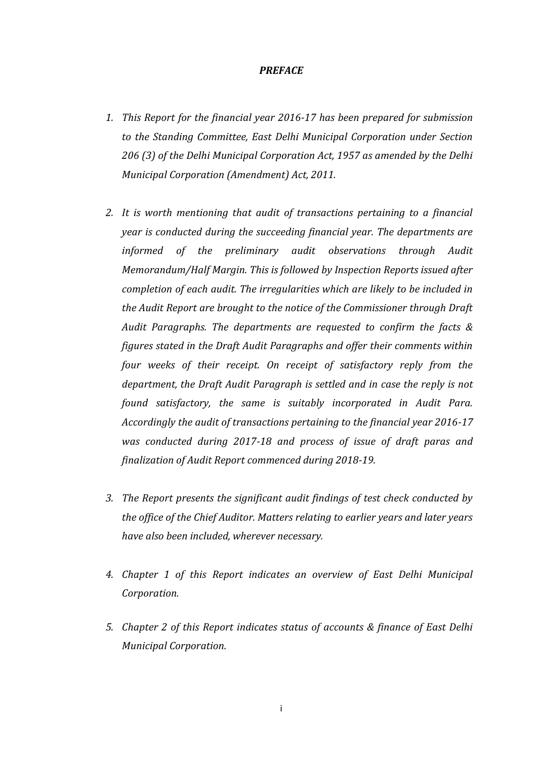#### *PREFACE*

- *1. This Report for the financial year 2016-17 has been prepared for submission to the Standing Committee, East Delhi Municipal Corporation under Section 206 (3) of the Delhi Municipal Corporation Act, 1957 as amended by the Delhi Municipal Corporation (Amendment) Act, 2011.*
- *2. It is worth mentioning that audit of transactions pertaining to a financial year is conducted during the succeeding financial year. The departments are informed of the preliminary audit observations through Audit Memorandum/Half Margin. This is followed by Inspection Reports issued after completion of each audit. The irregularities which are likely to be included in the Audit Report are brought to the notice of the Commissioner through Draft Audit Paragraphs. The departments are requested to confirm the facts & figures stated in the Draft Audit Paragraphs and offer their comments within four weeks of their receipt. On receipt of satisfactory reply from the department, the Draft Audit Paragraph is settled and in case the reply is not found satisfactory, the same is suitably incorporated in Audit Para. Accordingly the audit of transactions pertaining to the financial year 2016-17 was conducted during 2017-18 and process of issue of draft paras and finalization of Audit Report commenced during 2018-19.*
- *3. The Report presents the significant audit findings of test check conducted by the office of the Chief Auditor. Matters relating to earlier years and later years have also been included, wherever necessary.*
- *4. Chapter 1 of this Report indicates an overview of East Delhi Municipal Corporation.*
- *5. Chapter 2 of this Report indicates status of accounts & finance of East Delhi Municipal Corporation.*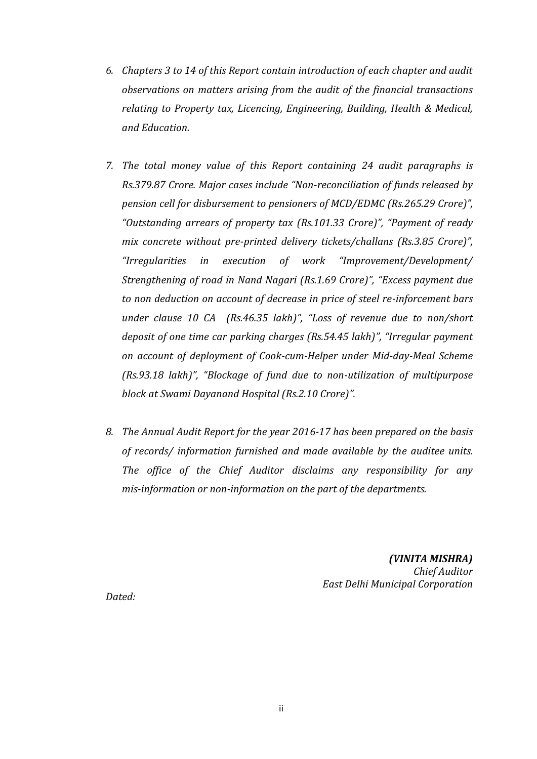- *6. Chapters 3 to 14 of this Report contain introduction of each chapter and audit observations on matters arising from the audit of the financial transactions relating to Property tax, Licencing, Engineering, Building, Health & Medical, and Education.*
- *7. The total money value of this Report containing 24 audit paragraphs is Rs.379.87 Crore. Major cases include "Non-reconciliation of funds released by pension cell for disbursement to pensioners of MCD/EDMC (Rs.265.29 Crore)", "Outstanding arrears of property tax (Rs.101.33 Crore)", "Payment of ready mix concrete without pre-printed delivery tickets/challans (Rs.3.85 Crore)", "Irregularities in execution of work "Improvement/Development/ Strengthening of road in Nand Nagari (Rs.1.69 Crore)", "Excess payment due to non deduction on account of decrease in price of steel re-inforcement bars under clause 10 CA (Rs.46.35 lakh)", "Loss of revenue due to non/short deposit of one time car parking charges (Rs.54.45 lakh)", "Irregular payment on account of deployment of Cook-cum-Helper under Mid-day-Meal Scheme (Rs.93.18 lakh)", "Blockage of fund due to non-utilization of multipurpose block at Swami Dayanand Hospital (Rs.2.10 Crore)".*
- *8. The Annual Audit Report for the year 2016-17 has been prepared on the basis of records/ information furnished and made available by the auditee units. The office of the Chief Auditor disclaims any responsibility for any mis-information or non-information on the part of the departments.*

*(VINITA MISHRA) Chief Auditor East Delhi Municipal Corporation*

*Dated:*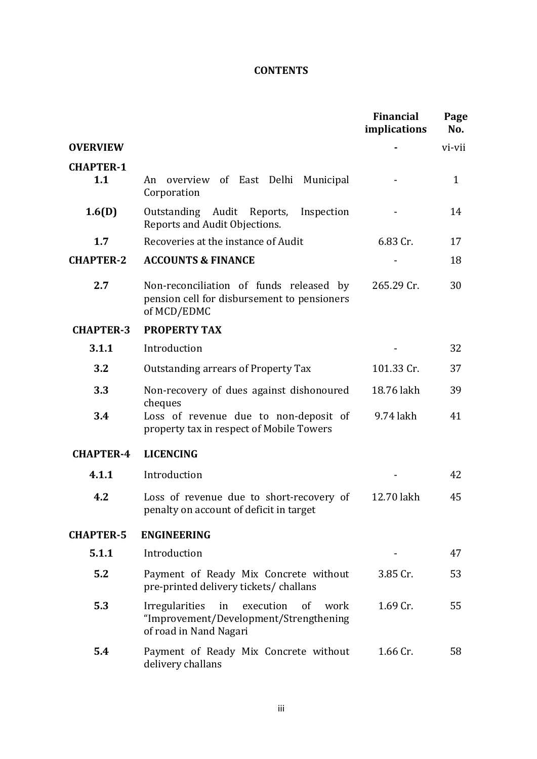# **CONTENTS**

|                         |                                                                                                                         | <b>Financial</b><br>implications | Page<br>No.  |
|-------------------------|-------------------------------------------------------------------------------------------------------------------------|----------------------------------|--------------|
| <b>OVERVIEW</b>         |                                                                                                                         |                                  | vi-vii       |
| <b>CHAPTER-1</b><br>1.1 | overview of East Delhi Municipal<br>An<br>Corporation                                                                   |                                  | $\mathbf{1}$ |
| 1.6(D)                  | Outstanding Audit Reports, Inspection<br>Reports and Audit Objections.                                                  |                                  | 14           |
| 1.7                     | Recoveries at the instance of Audit                                                                                     | 6.83 Cr.                         | 17           |
| <b>CHAPTER-2</b>        | <b>ACCOUNTS &amp; FINANCE</b>                                                                                           |                                  | 18           |
| 2.7                     | Non-reconciliation of funds released by<br>pension cell for disbursement to pensioners<br>of MCD/EDMC                   | 265.29 Cr.                       | 30           |
| <b>CHAPTER-3</b>        | <b>PROPERTY TAX</b>                                                                                                     |                                  |              |
| 3.1.1                   | Introduction                                                                                                            |                                  | 32           |
| 3.2                     | Outstanding arrears of Property Tax                                                                                     | 101.33 Cr.                       | 37           |
| 3.3                     | Non-recovery of dues against dishonoured                                                                                | 18.76 lakh                       | 39           |
| 3.4                     | cheques<br>Loss of revenue due to non-deposit of<br>property tax in respect of Mobile Towers                            | 9.74 lakh                        | 41           |
| <b>CHAPTER-4</b>        | <b>LICENCING</b>                                                                                                        |                                  |              |
| 4.1.1                   | Introduction                                                                                                            |                                  | 42           |
| 4.2                     | Loss of revenue due to short-recovery of<br>penalty on account of deficit in target                                     | 12.70 lakh                       | 45           |
| <b>CHAPTER-5</b>        | <b>ENGINEERING</b>                                                                                                      |                                  |              |
| 5.1.1                   | Introduction                                                                                                            |                                  | 47           |
| 5.2                     | Payment of Ready Mix Concrete without<br>pre-printed delivery tickets/challans                                          | 3.85 Cr.                         | 53           |
| 5.3                     | <b>Irregularities</b><br>in<br>execution of<br>work<br>"Improvement/Development/Strengthening<br>of road in Nand Nagari | 1.69 Cr.                         | 55           |
| 5.4                     | Payment of Ready Mix Concrete without<br>delivery challans                                                              | 1.66 Cr.                         | 58           |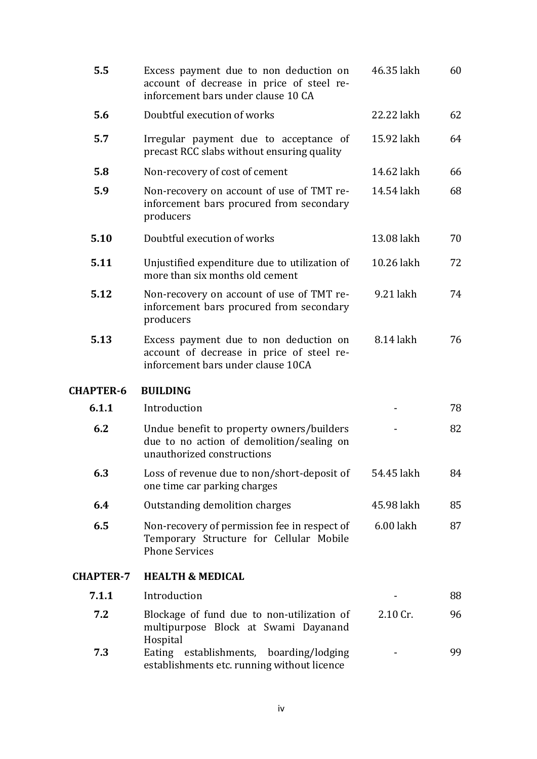| 5.5              | Excess payment due to non deduction on<br>account of decrease in price of steel re-<br>inforcement bars under clause 10 CA | 46.35 lakh | 60 |
|------------------|----------------------------------------------------------------------------------------------------------------------------|------------|----|
| 5.6              | Doubtful execution of works                                                                                                | 22.22 lakh | 62 |
| 5.7              | Irregular payment due to acceptance of<br>precast RCC slabs without ensuring quality                                       | 15.92 lakh | 64 |
| 5.8              | Non-recovery of cost of cement                                                                                             | 14.62 lakh | 66 |
| 5.9              | Non-recovery on account of use of TMT re-<br>inforcement bars procured from secondary<br>producers                         | 14.54 lakh | 68 |
| 5.10             | Doubtful execution of works                                                                                                | 13.08 lakh | 70 |
| 5.11             | Unjustified expenditure due to utilization of<br>more than six months old cement                                           | 10.26 lakh | 72 |
| 5.12             | Non-recovery on account of use of TMT re-<br>inforcement bars procured from secondary<br>producers                         | 9.21 lakh  | 74 |
| 5.13             | Excess payment due to non deduction on<br>account of decrease in price of steel re-<br>inforcement bars under clause 10CA  | 8.14 lakh  | 76 |
| <b>CHAPTER-6</b> | <b>BUILDING</b>                                                                                                            |            |    |
| 6.1.1            | Introduction                                                                                                               |            | 78 |
| 6.2              | Undue benefit to property owners/builders<br>due to no action of demolition/sealing on<br>unauthorized constructions       |            | 82 |
| 6.3              | Loss of revenue due to non/short-deposit of<br>one time car parking charges                                                | 54.45 lakh | 84 |
| 6.4              | Outstanding demolition charges                                                                                             | 45.98 lakh | 85 |
| 6.5              | Non-recovery of permission fee in respect of<br>Temporary Structure for Cellular Mobile<br><b>Phone Services</b>           | 6.00 lakh  | 87 |
| <b>CHAPTER-7</b> | <b>HEALTH &amp; MEDICAL</b>                                                                                                |            |    |
| 7.1.1            | Introduction                                                                                                               |            | 88 |
| 7.2              | Blockage of fund due to non-utilization of<br>multipurpose Block at Swami Dayanand                                         | 2.10 Cr.   | 96 |
| 7.3              | Hospital<br>Eating establishments, boarding/lodging<br>establishments etc. running without licence                         |            | 99 |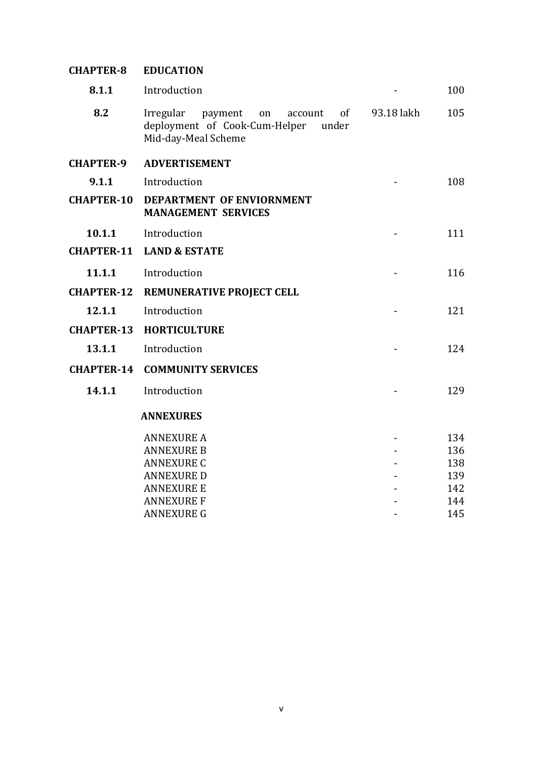| <b>CHAPTER-8</b>  | <b>EDUCATION</b>                                                                                             |            |     |
|-------------------|--------------------------------------------------------------------------------------------------------------|------------|-----|
| 8.1.1             | Introduction                                                                                                 |            | 100 |
| 8.2               | of<br>Irregular<br>payment<br>account<br>on<br>deployment of Cook-Cum-Helper<br>under<br>Mid-day-Meal Scheme | 93.18 lakh | 105 |
| <b>CHAPTER-9</b>  | <b>ADVERTISEMENT</b>                                                                                         |            |     |
| 9.1.1             | Introduction                                                                                                 |            | 108 |
| <b>CHAPTER-10</b> | <b>DEPARTMENT OF ENVIORNMENT</b><br><b>MANAGEMENT SERVICES</b>                                               |            |     |
| 10.1.1            | Introduction                                                                                                 |            | 111 |
| <b>CHAPTER-11</b> | <b>LAND &amp; ESTATE</b>                                                                                     |            |     |
| 11.1.1            | Introduction                                                                                                 |            | 116 |
| <b>CHAPTER-12</b> | REMUNERATIVE PROJECT CELL                                                                                    |            |     |
| 12.1.1            | Introduction                                                                                                 |            | 121 |
| <b>CHAPTER-13</b> | <b>HORTICULTURE</b>                                                                                          |            |     |
| 13.1.1            | Introduction                                                                                                 |            | 124 |
| <b>CHAPTER-14</b> | <b>COMMUNITY SERVICES</b>                                                                                    |            |     |
| 14.1.1            | Introduction                                                                                                 |            | 129 |
|                   | <b>ANNEXURES</b>                                                                                             |            |     |
|                   | <b>ANNEXURE A</b>                                                                                            |            | 134 |
|                   | <b>ANNEXURE B</b>                                                                                            |            | 136 |
|                   | <b>ANNEXURE C</b>                                                                                            |            | 138 |
|                   | <b>ANNEXURE D</b>                                                                                            |            | 139 |
|                   | <b>ANNEXURE E</b>                                                                                            |            | 142 |
|                   | <b>ANNEXURE F</b>                                                                                            |            | 144 |
|                   | <b>ANNEXURE G</b>                                                                                            |            | 145 |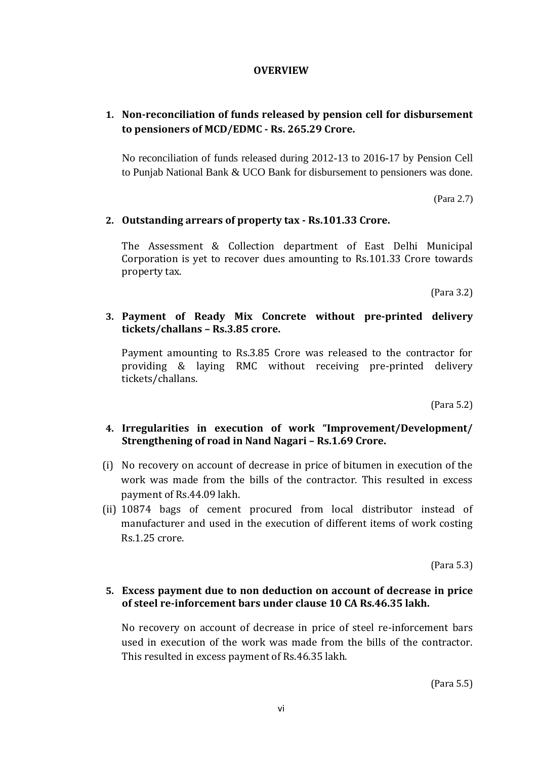#### **OVERVIEW**

# **1. Non-reconciliation of funds released by pension cell for disbursement to pensioners of MCD/EDMC - Rs. 265.29 Crore.**

No reconciliation of funds released during 2012-13 to 2016-17 by Pension Cell to Punjab National Bank & UCO Bank for disbursement to pensioners was done.

(Para 2.7)

## **2. Outstanding arrears of property tax - Rs.101.33 Crore.**

The Assessment & Collection department of East Delhi Municipal Corporation is yet to recover dues amounting to Rs.101.33 Crore towards property tax.

(Para 3.2)

## **3. Payment of Ready Mix Concrete without pre-printed delivery tickets/challans – Rs.3.85 crore.**

Payment amounting to Rs.3.85 Crore was released to the contractor for providing & laying RMC without receiving pre-printed delivery tickets/challans.

(Para 5.2)

## **4. Irregularities in execution of work "Improvement/Development/ Strengthening of road in Nand Nagari – Rs.1.69 Crore.**

- (i) No recovery on account of decrease in price of bitumen in execution of the work was made from the bills of the contractor. This resulted in excess payment of Rs.44.09 lakh.
- (ii) 10874 bags of cement procured from local distributor instead of manufacturer and used in the execution of different items of work costing Rs.1.25 crore.

(Para 5.3)

#### **5. Excess payment due to non deduction on account of decrease in price of steel re-inforcement bars under clause 10 CA Rs.46.35 lakh.**

No recovery on account of decrease in price of steel re-inforcement bars used in execution of the work was made from the bills of the contractor. This resulted in excess payment of Rs.46.35 lakh.

(Para 5.5)